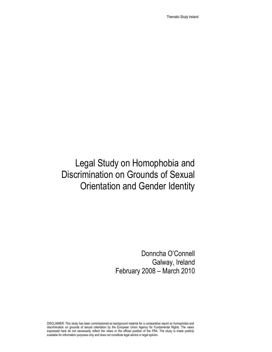Thematic Study Ireland

# Legal Study on Homophobia and Discrimination on Grounds of Sexual Orientation and Gender Identity

Donncha O'Connell Galway, Ireland February 2008 – March 2010

DISCLAIMER: This study has been commissioned as background material for a comparative report on homophobia and discrimination on grounds of sexual orientation by the European Union Agency for Fundamental Rights. The views expressed here do not necessarily reflect the views or the official position of the FRA. The study is made publicly available for information purposes only and does not constitute legal advice or legal opinion.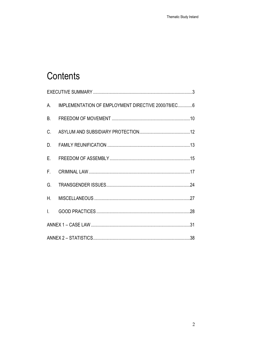# Contents

| А.           | IMPLEMENTATION OF EMPLOYMENT DIRECTIVE 2000/78/EC6 |  |  |  |  |  |
|--------------|----------------------------------------------------|--|--|--|--|--|
| <b>B.</b>    |                                                    |  |  |  |  |  |
| C.           |                                                    |  |  |  |  |  |
|              |                                                    |  |  |  |  |  |
| $E_{\rm{r}}$ |                                                    |  |  |  |  |  |
|              |                                                    |  |  |  |  |  |
| G.           |                                                    |  |  |  |  |  |
|              |                                                    |  |  |  |  |  |
|              |                                                    |  |  |  |  |  |
|              |                                                    |  |  |  |  |  |
|              |                                                    |  |  |  |  |  |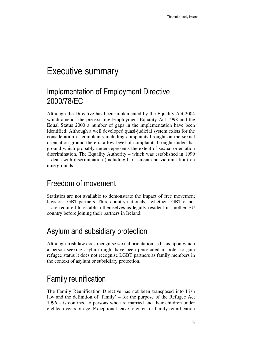# Executive summary

## Implementation of Employment Directive 2000/78/EC

Although the Directive has been implemented by the Equality Act 2004 which amends the pre-existing Employment Equality Act 1998 and the Equal Status 2000 a number of gaps in the implementation have been identified. Although a well developed quasi-judicial system exists for the consideration of complaints including complaints brought on the sexual orientation ground there is a low level of complaints brought under that ground which probably under-represents the extent of sexual orientation discrimination. The Equality Authority – which was established in 1999 – deals with discrimination (including harassment and victimisation) on nine grounds.

### Freedom of movement

Statistics are not available to demonstrate the impact of free movement laws on LGBT partners. Third country nationals – whether LGBT or not – are required to establish themselves as legally resident in another EU country before joining their partners in Ireland.

## Asylum and subsidiary protection

Although Irish law does recognise sexual orientation as basis upon which a person seeking asylum might have been persecuted in order to gain refugee status it does not recognise LGBT partners as family members in the context of asylum or subsidiary protection.

## Family reunification

The Family Reunification Directive has not been transposed into Irish law and the definition of 'family' – for the purpose of the Refugee Act 1996 – is confined to persons who are married and their children under eighteen years of age. Exceptional leave to enter for family reunification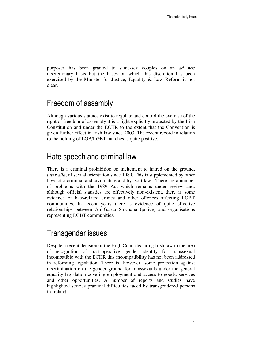purposes has been granted to same-sex couples on an *ad hoc* discretionary basis but the bases on which this discretion has been exercised by the Minister for Justice, Equality & Law Reform is not clear.

## Freedom of assembly

Although various statutes exist to regulate and control the exercise of the right of freedom of assembly it is a right explicitly protected by the Irish Constitution and under the ECHR to the extent that the Convention is given further effect in Irish law since 2003. The recent record in relation to the holding of LGB/LGBT marches is quite positive.

#### Hate speech and criminal law

There is a criminal prohibition on incitement to hatred on the ground, *inter alia*, of sexual orientation since 1989. This is supplemented by other laws of a criminal and civil nature and by 'soft law'. There are a number of problems with the 1989 Act which remains under review and, although official statistics are effectively non-existent, there is some evidence of hate-related crimes and other offences affecting LGBT communities. In recent years there is evidence of quite effective relationships between An Garda Siochana (police) and organisations representing LGBT communities.

### Transgender issues

Despite a recent decision of the High Court declaring Irish law in the area of recognition of post-operative gender identity for transsexual incompatible with the ECHR this incompatibility has not been addressed in reforming legislation. There is, however, some protection against discrimination on the gender ground for transsexuals under the general equality legislation covering employment and access to goods, services and other opportunities. A number of reports and studies have highlighted serious practical difficulties faced by transgendered persons in Ireland.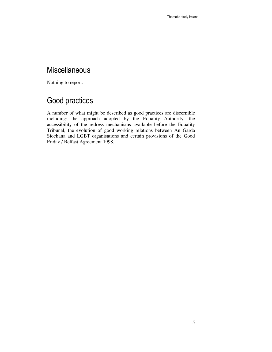### **Miscellaneous**

Nothing to report.

## Good practices

A number of what might be described as good practices are discernible including: the approach adopted by the Equality Authority, the accessibility of the redress mechanisms available before the Equality Tribunal, the evolution of good working relations between An Garda Siochana and LGBT organisations and certain provisions of the Good Friday / Belfast Agreement 1998.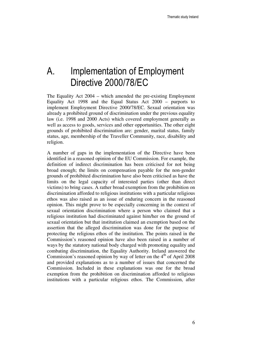# A. Implementation of Employment Directive 2000/78/EC

The Equality Act 2004 – which amended the pre-existing Employment Equality Act 1998 and the Equal Status Act 2000 – purports to implement Employment Directive 2000/78/EC. Sexual orientation was already a prohibited ground of discrimination under the previous equality law (i.e. 1998 and 2000 Acts) which covered employment generally as well as access to goods, services and other opportunities. The other eight grounds of prohibited discrimination are: gender, marital status, family status, age, membership of the Traveller Community, race, disability and religion.

A number of gaps in the implementation of the Directive have been identified in a reasoned opinion of the EU Commission. For example, the definition of indirect discrimination has been criticised for not being broad enough; the limits on compensation payable for the non-gender grounds of prohibited discrimination have also been criticised as have the limits on the legal capacity of interested parties (other than direct victims) to bring cases. A rather broad exemption from the prohibition on discrimination afforded to religious institutions with a particular religious ethos was also raised as an issue of enduring concern in the reasoned opinion. This might prove to be especially concerning in the context of sexual orientation discrimination where a person who claimed that a religious institution had discriminated against him/her on the ground of sexual orientation but that institution claimed an exemption based on the assertion that the alleged discrimination was done for the purpose of protecting the religious ethos of the institution. The points raised in the Commission's reasoned opinion have also been raised in a number of ways by the statutory national body charged with promoting equality and combating discrimination, the Equality Authority. Ireland answered the Commission's reasoned opinion by way of letter on the  $4<sup>th</sup>$  of April 2008 and provided explanations as to a number of issues that concerned the Commission. Included in these explanations was one for the broad exemption from the prohibition on discrimination afforded to religious institutions with a particular religious ethos. The Commission, after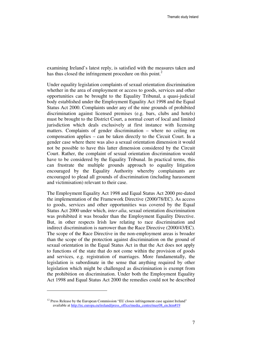examining Ireland's latest reply, is satisfied with the measures taken and has thus closed the infringement procedure on this point.<sup>2</sup>

Under equality legislation complaints of sexual orientation discrimination whether in the area of employment or access to goods, services and other opportunities can be brought to the Equality Tribunal, a quasi-judicial body established under the Employment Equality Act 1998 and the Equal Status Act 2000. Complaints under any of the nine grounds of prohibited discrimination against licensed premises (e.g. bars, clubs and hotels) must be brought to the District Court, a normal court of local and limited jurisdiction which deals exclusively at first instance with licensing matters. Complaints of gender discrimination – where no ceiling on compensation applies – can be taken directly to the Circuit Court. In a gender case where there was also a sexual orientation dimension it would not be possible to have this latter dimension considered by the Circuit Court. Rather, the complaint of sexual orientation discrimination would have to be considered by the Equality Tribunal. In practical terms, this can frustrate the multiple grounds approach to equality litigation encouraged by the Equality Authority whereby complainants are encouraged to plead all grounds of discrimination (including harassment and victimisation) relevant to their case.

The Employment Equality Act 1998 and Equal Status Act 2000 pre-dated the implementation of the Framework Directive (2000/78/EC). As access to goods, services and other opportunities was covered by the Equal Status Act 2000 under which, *inter alia*, sexual orientation discrimination was prohibited it was broader than the Employment Equality Directive. But, in other respects Irish law relating to race discrimination and indirect discrimination is narrower than the Race Directive (2000/43/EC). The scope of the Race Directive in the non-employment areas is broader than the scope of the protection against discrimination on the ground of sexual orientation in the Equal Status Act in that the Act does not apply to functions of the state that do not come within the provision of goods and services, e.g. registration of marriages. More fundamentally, the legislation is subordinate in the sense that anything required by other legislation which might be challenged as discrimination is exempt from the prohibition on discrimination. Under both the Employment Equality Act 1998 and Equal Status Act 2000 the remedies could not be described

 $12$  Press Release by the European Commission "EU closes infringement case against Ireland" available at http://ec.europa.eu/ireland/press\_office/media\_centre/may08\_en.htm#19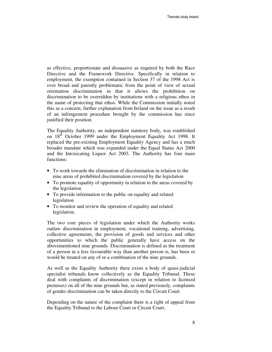as effective, proportionate and dissuasive as required by both the Race Directive and the Framework Directive. Specifically in relation to employment, the exemption contained in Section 37 of the 1998 Act is over broad and patently problematic from the point of view of sexual orientation discrimination in that it allows the prohibition on discrimination to be overridden by institutions with a religious ethos in the name of protecting that ethos. While the Commission initially noted this as a concern, further explanation from Ireland on the issue as a result of an infringement procedure brought by the commission has since justified their position.

The Equality Authority, an independent statutory body, was established on  $18<sup>th</sup>$  October 1999 under the Employment Equality Act 1998. It replaced the pre-existing Employment Equality Agency and has a much broader mandate which was expanded under the Equal Status Act 2000 and the Intoxicating Liquor Act 2003. The Authority has four main functions:

- To work towards the elimination of discrimination in relation to the nine areas of prohibited discrimination covered by the legislation
- To promote equality of opportunity in relation to the areas covered by the legislation
- To provide information to the public on equality and related legislation
- To monitor and review the operation of equality and related legislation.

The two core pieces of legislation under which the Authority works outlaw discrimination in employment, vocational training, advertising, collective agreements, the provision of goods and services and other opportunities to which the public generally have access on the abovementioned nine grounds. Discrimination is defined as the treatment of a person in a less favourable way than another person is, has been or would be treated on any of or a combination of the nine grounds.

As well as the Equality Authority there exists a body of quasi-judicial specialist tribunals know collectively as the Equality Tribunal. These deal with complaints of discrimination (except in relation to licensed premises) on all of the nine grounds but, as stated previously, complaints of gender discrimination can be taken directly to the Circuit Court.

Depending on the nature of the complaint there is a right of appeal from the Equality Tribunal to the Labour Court or Circuit Court.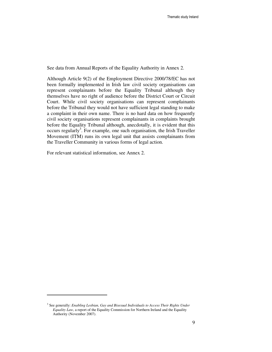See data from Annual Reports of the Equality Authority in Annex 2.

Although Article 9(2) of the Employment Directive 2000/78/EC has not been formally implemented in Irish law civil society organisations can represent complainants before the Equality Tribunal although they themselves have no right of audience before the District Court or Circuit Court. While civil society organisations can represent complainants before the Tribunal they would not have sufficient legal standing to make a complaint in their own name. There is no hard data on how frequently civil society organisations represent complainants in complaints brought before the Equality Tribunal although, anecdotally, it is evident that this  $occurs$  regularly<sup>3</sup>. For example, one such organisation, the Irish Traveller Movement (ITM) runs its own legal unit that assists complainants from the Traveller Community in various forms of legal action.

For relevant statistical information, see Annex 2.

<sup>3</sup> See generally: *Enabling Lesbian, Gay and Bisexual Individuals to Access Their Rights Under Equality Law*, a report of the Equality Commission for Northern Ireland and the Equality Authority (November 2007).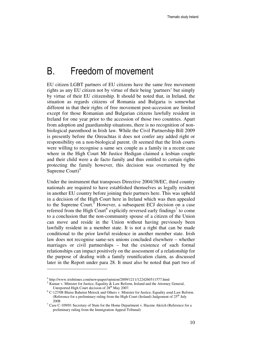## B. Freedom of movement

EU citizen LGBT partners of EU citizens have the same free movement rights as any EU citizen not by virtue of their being 'partners' but simply by virtue of their EU citizenship. It should be noted that, in Ireland, the situation as regards citizens of Romania and Bulgaria is somewhat different in that their rights of free movement post-accession are limited except for those Romanian and Bulgarian citizens lawfully resident in Ireland for one year prior to the accession of those two countries. Apart from adoption and guardianship situations, there is no recognition of nonbiological parenthood in Irish law. While the Civil Partnership Bill 2009 is presently before the Oireachtas it does not confer any added right or responsibility on a non-biological parent. (It seemed that the Irish courts were willing to recognise a same sex couple as a family in a recent case where in the High Court Mr Justice Hedigan claimed a lesbian couple and their child were a de facto family and thus entitled to certain rights protecting the family however, this decision was overturned by the Supreme  $Count)<sup>4</sup>$ 

Under the instrument that transposes Directive 2004/38/EC, third country nationals are required to have established themselves as legally resident in another EU country before joining their partners here. This was upheld in a decision of the High Court here in Ireland which was then appealed to the Supreme Court.<sup>5</sup> However, a subsequent ECJ decision on a case referred from the High Court<sup>6</sup> explicitly reversed early findings<sup>7</sup> to come to a conclusion that the non-community spouse of a citizen of the Union can move and reside in the Union without having previously been lawfully resident in a member state. It is not a right that can be made conditional to the prior lawful residence in another member state. Irish law does not recognise same-sex unions concluded elsewhere – whether marriages or civil partnerships – but the existence of such formal relationships can impact positively on the assessment of a relationship for the purpose of dealing with a family reunification claim, as discussed later in the Report under para 28. It must also be noted that part two of

<sup>4</sup> http://www.irishtimes.com/newspaper/opinion/2009/1211/1224260511577.html

<sup>&</sup>lt;sup>5</sup> Kumar v. Minister for Justice, Equality & Law Reform, Ireland and the Attorney General, Unreported High Court decision of 28<sup>th</sup> May 2007.

 $6$  C-127/08 Blaise Baheten Metock and Others v. Minister for Justice, Equality asnd Law Reform. (Reference for a preliminary ruling from the High Court (Ireland) Judgement of  $25<sup>th</sup>$  July 2008

 $7$  Case C-109/01 Secretary of State for the Home Department v. Hacene Akrich (Reference for a preliminary ruling from the Immigration Appeal Tribunal)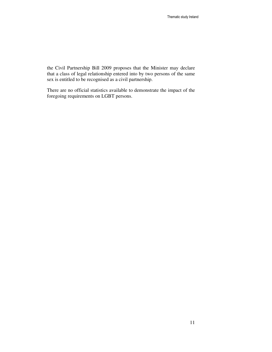the Civil Partnership Bill 2009 proposes that the Minister may declare that a class of legal relationship entered into by two persons of the same sex is entitled to be recognised as a civil partnership.

There are no official statistics available to demonstrate the impact of the foregoing requirements on LGBT persons.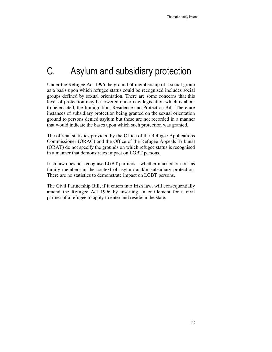# C. Asylum and subsidiary protection

Under the Refugee Act 1996 the ground of membership of a social group as a basis upon which refugee status could be recognised includes social groups defined by sexual orientation. There are some concerns that this level of protection may be lowered under new legislation which is about to be enacted, the Immigration, Residence and Protection Bill. There are instances of subsidiary protection being granted on the sexual orientation ground to persons denied asylum but these are not recorded in a manner that would indicate the bases upon which such protection was granted.

The official statistics provided by the Office of the Refugee Applications Commissioner (ORAC) and the Office of the Refugee Appeals Tribunal (ORAT) do not specify the grounds on which refugee status is recognised in a manner that demonstrates impact on LGBT persons.

Irish law does not recognise LGBT partners – whether married or not - as family members in the context of asylum and/or subsidiary protection. There are no statistics to demonstrate impact on LGBT persons.

The Civil Partnership Bill, if it enters into Irish law, will consequentially amend the Refugee Act 1996 by inserting an entitlement for a civil partner of a refugee to apply to enter and reside in the state.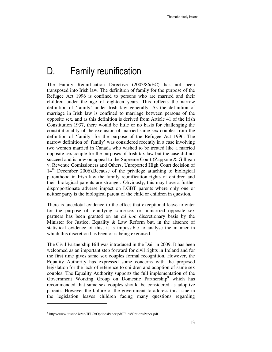# D. Family reunification

The Family Reunification Directive (2003/86/EC) has not been transposed into Irish law. The definition of family for the purpose of the Refugee Act 1996 is confined to persons who are married and their children under the age of eighteen years. This reflects the narrow definition of 'family' under Irish law generally. As the definition of marriage in Irish law is confined to marriage between persons of the opposite sex, and as this definition is derived from Article 41 of the Irish Constitution 1937, there would be little or no basis for challenging the constitutionality of the exclusion of married same-sex couples from the definition of 'family' for the purpose of the Refugee Act 1996. The narrow definition of 'family' was considered recently in a case involving two women married in Canada who wished to be treated like a married opposite sex couple for the purposes of Irish tax law but the case did not succeed and is now on appeal to the Supreme Court (Zappone & Gilligan v. Revenue Comissioners and Others, Unreported High Court decision of  $14<sup>th</sup>$  December 2006). Because of the privilege attaching to biological parenthood in Irish law the family reunification rights of children and their biological parents are stronger. Obviously, this may have a further disproportionate adverse impact on LGBT parents where only one or neither party is the biological parent of the child or children in question.

There is anecdotal evidence to the effect that exceptional leave to enter for the purpose of reunifying same-sex or unmarried opposite sex partners has been granted on an *ad hoc* discretionary basis by the Minister for Justice, Equality & Law Reform but, in the absence of statistical evidence of this, it is impossible to analyse the manner in which this discretion has been or is being exercised.

The Civil Partnership Bill was introduced in the Dail in 2009. It has been welcomed as an important step forward for civil rights in Ireland and for the first time gives same sex couples formal recognition. However, the Equality Authority has expressed some concerns with the proposed legislation for the lack of reference to children and adoption of same sex couples. The Equality Authority supports the full implementation of the Government Working Group on Domestic Partnership<sup>8</sup> which has recommended that same-sex couples should be considered as adoptive parents. However the failure of the government to address this issue in the legislation leaves children facing many questions regarding

<sup>8</sup> http://www.justice.ie/en/JELR/OptionsPaper.pdf/Files/OptionsPaper.pdf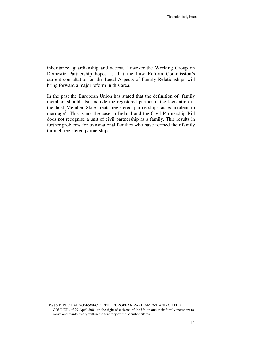inheritance, guardianship and access. However the Working Group on Domestic Partnership hopes "…that the Law Reform Commission's current consultation on the Legal Aspects of Family Relationships will bring forward a major reform in this area."

In the past the European Union has stated that the definition of 'family member' should also include the registered partner if the legislation of the host Member State treats registered partnerships as equivalent to marriage<sup>9</sup>. This is not the case in Ireland and the Civil Partnership Bill does not recognise a unit of civil partnership as a family. This results in further problems for transnational families who have formed their family through registered partnerships.

 $^9$  Part 5 DIRECTIVE 2004/58/EC OF THE EUROPEAN PARLIAMENT AND OF THE COUNCIL of 29 April 2004 on the right of citizens of the Union and their family members to move and reside freely within the territory of the Member States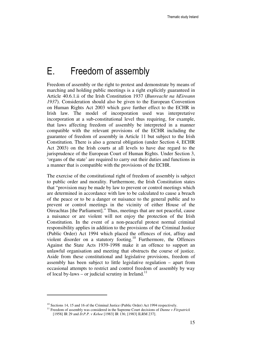# E. Freedom of assembly

Freedom of assembly or the right to protest and demonstrate by means of marching and holding public meetings is a right explicitly guaranteed in Article 40.6.1.ii of the Irish Constitution 1937 (*Bunreacht na hEireann 1937*). Consideration should also be given to the European Convention on Human Rights Act 2003 which gave further effect to the ECHR in Irish law. The model of incorporation used was interpretative incorporation at a sub-constitutional level thus requiring, for example, that laws affecting freedom of assembly be interpreted in a manner compatible with the relevant provisions of the ECHR including the guarantee of freedom of assembly in Article 11 but subject to the Irish Constitution. There is also a general obligation (under Section 4, ECHR Act 2003) on the Irish courts at all levels to have due regard to the jurisprudence of the European Court of Human Rights. Under Section 3, 'organs of the state' are required to carry out their duties and functions in a manner that is compatible with the provisions of the ECHR.

The exercise of the constitutional right of freedom of assembly is subject to public order and morality. Furthermore, the Irish Constitution states that "provision may be made by law to prevent or control meetings which are determined in accordance with law to be calculated to cause a breach of the peace or to be a danger or nuisance to the general public and to prevent or control meetings in the vicinity of either House of the Oireachtas [the Parliament]." Thus, meetings that are not peaceful, cause a nuisance or are violent will not enjoy the protection of the Irish Constitution. In the event of a non-peaceful protest normal criminal responsibility applies in addition to the provisions of the Criminal Justice (Public Order) Act 1994 which placed the offences of riot, affray and violent disorder on a statutory footing.<sup>10</sup> Furthermore, the Offences Against the State Acts 1939-1998 make it an offence to support an unlawful organisation and meeting that obstructs the course of justice. Aside from these constitutional and legislative provisions, freedom of assembly has been subject to little legislative regulation – apart from occasional attempts to restrict and control freedom of assembly by way of local by-laws – or judicial scrutiny in Ireland.<sup>11</sup>

<sup>&</sup>lt;sup>10</sup> Sections 14, 15 and 16 of the Criminal Justice (Public Order) Act 1994 respectively.

<sup>11</sup> Freedom of assembly was considered in the Supreme Court decisions of *Dunne v Fitzpatrick* [1958] IR 29 and *D.P.P. v Kehoe* [1983] IR 136; [1983] ILRM 237].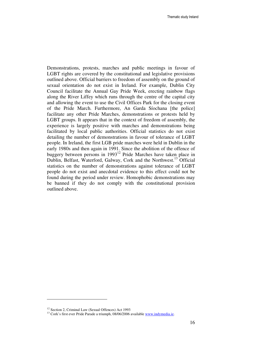Demonstrations, protests, marches and public meetings in favour of LGBT rights are covered by the constitutional and legislative provisions outlined above. Official barriers to freedom of assembly on the ground of sexual orientation do not exist in Ireland. For example, Dublin City Council facilitate the Annual Gay Pride Week, erecting rainbow flags along the River Liffey which runs through the centre of the capital city and allowing the event to use the Civil Offices Park for the closing event of the Pride March. Furthermore, An Garda Síochana [the police] facilitate any other Pride Marches, demonstrations or protests held by LGBT groups. It appears that in the context of freedom of assembly, the experience is largely positive with marches and demonstrations being facilitated by local public authorities. Official statistics do not exist detailing the number of demonstrations in favour of tolerance of LGBT people. In Ireland, the first LGB pride marches were held in Dublin in the early 1980s and then again in 1991. Since the abolition of the offence of buggery between persons in 1993<sup>12</sup> Pride Marches have taken place in Dublin, Belfast, Waterford, Galway, Cork and the Northwest.<sup>13</sup> Official statistics on the number of demonstrations against tolerance of LGBT people do not exist and anecdotal evidence to this effect could not be found during the period under review. Homophobic demonstrations may be banned if they do not comply with the constitutional provision outlined above.

<sup>&</sup>lt;sup>12</sup> Section 2, Criminal Law (Sexual Offences) Act 1993

<sup>&</sup>lt;sup>13</sup> Cork's first ever Pride Parade a triumph, 08/06/2006 available www.indymedia.ie.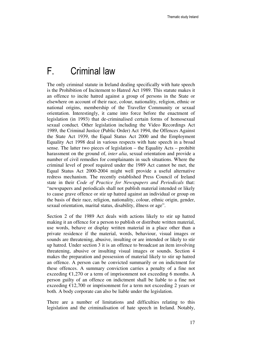## F. Criminal law

The only criminal statute in Ireland dealing specifically with hate speech is the Prohibition of Incitement to Hatred Act 1989. This statute makes it an offence to incite hatred against a group of persons in the State or elsewhere on account of their race, colour, nationality, religion, ethnic or national origins, membership of the Traveller Community or sexual orientation. Interestingly, it came into force before the enactment of legislation (in 1993) that de-criminalised certain forms of homosexual sexual conduct. Other legislation including the Video Recordings Act 1989, the Criminal Justice (Public Order) Act 1994, the Offences Against the State Act 1939, the Equal Status Act 2000 and the Employment Equality Act 1998 deal in various respects with hate speech in a broad sense. The latter two pieces of legislation – the Equality Acts – prohibit harassment on the ground of, *inter alia*, sexual orientation and provide a number of civil remedies for complainants in such situations. Where the criminal level of proof required under the 1989 Act cannot be met, the Equal Status Act 2000-2004 might well provide a useful alternative redress mechanism. The recently established Press Council of Ireland state in their *Code of Practice for Newspapers and Periodicals* that: "newspapers and periodicals shall not publish material intended or likely to cause grave offence or stir up hatred against an individual or group on the basis of their race, religion, nationality, colour, ethnic origin, gender, sexual orientation, marital status, disability, illness or age".

Section 2 of the 1989 Act deals with actions likely to stir up hatred making it an offence for a person to publish or distribute written material, use words, behave or display written material in a place other than a private residence if the material, words, behaviour, visual images or sounds are threatening, abusive, insulting or are intended or likely to stir up hatred. Under section 3 it is an offence to broadcast an item involving threatening, abusive or insulting visual images or sounds. Section 4 makes the preparation and possession of material likely to stir up hatred an offence. A person can be convicted summarily or on indictment for these offences. A summary conviction carries a penalty of a fine not exceeding  $\epsilon$ 1,270 or a term of imprisonment not exceeding 6 months. A person guilty of an offence on indictment shall be liable to a fine not exceeding  $\epsilon$ 12,700 or imprisonment for a term not exceeding 2 years or both. A body corporate can also be liable under the legislation.

There are a number of limitations and difficulties relating to this legislation and the criminalisation of hate speech in Ireland. Notably,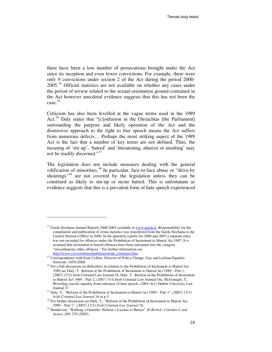there have been a low number of prosecutions brought under the Act since its inception and even fewer convictions. For example, there were only 9 convictions under section 2 of the Act during the period 2000-  $2005<sup>14</sup>$  Official statistics are not available on whether any cases under the period of review related to the sexual orientation ground contained in the Act however anecdotal evidence suggests that this has not been the case. $15$ 

Criticism has also been levelled at the vague terms used in the 1989 Act.<sup>16</sup> Daly states that "[c]onfusion in the Oireachtas [the Parliament] surrounding the purpose and likely operation of the Act and the dismissive approach to the right to free speech means the Act suffers from numerous defects… Perhaps the most striking aspect of the 1989 Act is the fact that a number of key terms are not defined. Thus, the meaning of 'stir up', 'hatred' and 'threatening, abusive or insulting' may not be readily discerned."<sup>17</sup>

The legislation does not include measures dealing with the general vilification of minorities.<sup>18</sup> In particular, face-to-face abuse or "drive-by shoutings<sup>"19</sup> are not covered by the legislation unless they can be construed as likely to stir-up or incite hatred. This is unfortunate as evidence suggests that this is a prevalent form of hate speech experienced

<sup>&</sup>lt;sup>14</sup> Garda Síochana Annual Reports 2000-2005 available at www.garda.ie. Responsibility for the compilation and publication of crime statistics was transferred from the Garda Síochana to the Central Statistics Office in 2006. In the quarterly reports for 2006 and 2007 a separate entry was not recorded for offences under the Prohibition of Incitement to Hatred Act 1987. It is assumed that incitement to hatred offences have been subsumed into the category "miscellaneous other offences." For further information see

http://www.cso.ie/releasespublications/pr\_crimejust.htm.

<sup>&</sup>lt;sup>15</sup> Correspondence with Eoin Collins, Director of Policy Change, Gay and Lesbian Equality Network, 10/01/2008.

<sup>&</sup>lt;sup>16</sup> For a full discussion on difficulties in relation to the Prohibition of Incitement to Hatred Act 1989 see Daly, T., Reform of the Prohibition of Incitement to Hatred Act 1989 – Part 1, (2007) 17(3) Irish Criminal Law Journal 16, Daly, T., Reform of the Prohibition of Incitement to Hatred Act 1989 – Part 2, (2007 17(4) Irish Criminal Law Journal 16a, McGonagle, T., Wrestling (racial) equality from tolerance of hate speech, (2001) 8(1) Dublin University Law Journal 21

 $17$  Daly, T., "Reform of the Prohibition of Incitement to Hatred Act 1989 – Part 1", (2007) 17(3) *Irish Criminal Law Journal* 16 at p.3.

<sup>&</sup>lt;sup>18</sup> For further discussion see Daly, T., "Reform of the Prohibition of Incitement to Hatred Act 1989 – Part 1", (2007) 17(3) *Irish Criminal Law Journal* 16.

<sup>19</sup> Henderson, "Walking a Gauntlet: Nielson's License to Harass" 20 *Berkely J Gender L and Justice* 269, 270 (2005).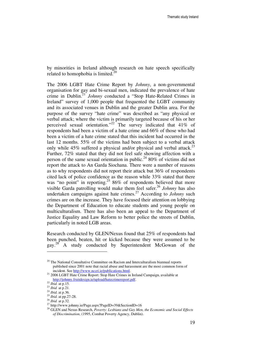by minorities in Ireland although research on hate speech specifically related to homophobia is limited. $20$ 

The 2006 LGBT Hate Crime Report by *Johnny*, a non-governmental organisation for gay and bi-sexual men, indicated the prevalence of hate crime in Dublin.<sup>21</sup> *Johnny* conducted a "Stop Hate-Related Crimes in Ireland" survey of 1,000 people that frequented the LGBT community and its associated venues in Dublin and the greater Dublin area. For the purpose of the survey "hate crime" was described as "any physical or verbal attack; where the victim is primarily targeted because of his or her perceived sexual orientation."<sup>22</sup> The survey indicated that  $41\%$  of respondents had been a victim of a hate crime and 66% of those who had been a victim of a hate crime stated that this incident had occurred in the last 12 months. 55% of the victims had been subject to a verbal attack only while  $45\%$  suffered a physical and/or physical and verbal attack.<sup>23</sup> Further, 72% stated that they did not feel safe showing affection with a person of the same sexual orientation in public.<sup>24</sup> 80% of victims did not report the attack to An Garda Siochana. There were a number of reasons as to why respondents did not report their attack but 36% of respondents cited lack of police confidence as the reason while 33% stated that there was "no point" in reporting.<sup>25</sup> 86% of respondents believed that more visible Garda patrolling would make them feel safer. <sup>26</sup> *Johnny* has also undertaken campaigns against hate crimes.<sup>27</sup> According to *Johnny* such crimes are on the increase. They have focused their attention on lobbying the Department of Education to educate students and young people on multiculturalism. There has also been an appeal to the Department of Justice Equality and Law Reform to better police the streets of Dublin, particularly in noted LGB areas.

Research conducted by GLEN/Nexus found that 25% of respondents had been punched, beaten, hit or kicked because they were assumed to be gay.<sup>28</sup> A study conducted by Superintendent McGowan of the

<sup>&</sup>lt;sup>20</sup> The National Consultative Committee on Racism and Interculturalism biannual reports published since 2001 note that racial abuse and harassment are the most common form of incident. See http://www.nccri.ie/publications.html.

<sup>&</sup>lt;sup>21</sup> 2006 LGBT Hate Crime Report: Stop Hate Crimes in Ireland Campaign, available at http://johnny.fruitdesign.ie/upload/hatecrimereport.pdf.

<sup>22</sup> *Ibid.* at p.15.

<sup>23</sup> *Ibid.* at p.21. <sup>24</sup> *Ibid.* at p.36.

<sup>25</sup> *Ibid.* at pp.27-28.

<sup>26</sup> *Ibid.* at p.32.

<sup>27</sup> http://www.johnny.ie/Page.aspx?PageID=39&SectionID=16

<sup>28</sup> GLEN and Nexus Research, *Poverty: Lesbians and Gay Men, the Economic and Social Effects of Discrimination*, (1995, Combat Poverty Agency, Dublin).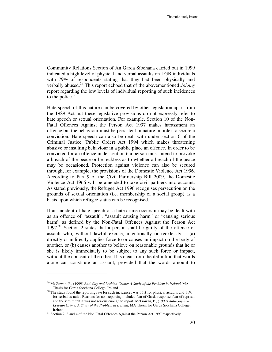Community Relations Section of An Garda Síochana carried out in 1999 indicated a high level of physical and verbal assaults on LGB individuals with 79% of respondents stating that they had been physically and verbally abused.<sup>29</sup> This report echoed that of the abovementioned *Johnny* report regarding the low levels of individual reporting of such incidences to the police. $30$ 

Hate speech of this nature can be covered by other legislation apart from the 1989 Act but these legislative provisions do not expressly refer to hate speech or sexual orientation. For example, Section 10 of the Non-Fatal Offences Against the Person Act 1997 makes harassment an offence but the behaviour must be persistent in nature in order to secure a conviction. Hate speech can also be dealt with under section 6 of the Criminal Justice (Public Order) Act 1994 which makes threatening abusive or insulting behaviour in a public place an offence. In order to be convicted for an offence under section 6 a person must intend to provoke a breach of the peace or be reckless as to whether a breach of the peace may be occasioned. Protection against violence can also be secured through, for example, the provisions of the Domestic Violence Act 1996. According to Part 9 of the Civil Partnership Bill 2009, the Domestic Violence Act 1966 will be amended to take civil partners into account. As stated previously, the Refugee Act 1996 recognises persecution on the grounds of sexual orientation (i.e. membership of a social group) as a basis upon which refugee status can be recognised.

If an incident of hate speech or a hate crime occurs it may be dealt with as an offence of "assault", "assault causing harm" or "causing serious harm" as defined by the Non-Fatal Offences Against the Person Act  $1997<sup>31</sup>$  Section 2 states that a person shall be guilty of the offence of assault who, without lawful excuse, intentionally or recklessly, - (a) directly or indirectly applies force to or causes an impact on the body of another, or (b) causes another to believe on reasonable grounds that he or she is likely immediately to be subject to any such force or impact, without the consent of the other. It is clear from the definition that words alone can constitute an assault, provided that the words amount to

<sup>29</sup> McGowan, P., (1999) *Anti-Gay and Lesbian Crime: A Study of the Problem in Ireland*, MA Thesis for Garda Síochana College, Ireland.

 $30$  The study found the reporting rate for such incidences was 35% for physical assaults and 11% for verbal assaults. Reasons for non-reporting included fear of Garda response, fear of reprisal and the victim felt it was not serious enough to report. McGowan, P., (1999) *Anti-Gay and Lesbian Crime: A Study of the Problem in Ireland*, MA Thesis for Garda Siochana College, Ireland.

<sup>&</sup>lt;sup>31</sup> Section 2, 3 and 4 of the Non Fatal Offences Against the Person Act 1997 respectively.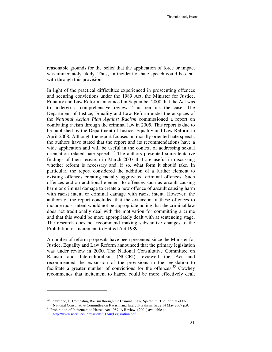reasonable grounds for the belief that the application of force or impact was immediately likely. Thus, an incident of hate speech could be dealt with through this provision.

In light of the practical difficulties experienced in prosecuting offences and securing convictions under the 1989 Act, the Minister for Justice, Equality and Law Reform announced in September 2000 that the Act was to undergo a comprehensive review. This remains the case. The Department of Justice, Equality and Law Reform under the auspices of the *National Action Plan Against Racism* commissioned a report on combating racism through the criminal law in 2005. This report is due to be published by the Department of Justice, Equality and Law Reform in April 2008. Although the report focuses on racially oriented hate speech, the authors have stated that the report and its recommendations have a wide application and will be useful in the context of addressing sexual orientation related hate speech. $32$  The authors presented some tentative findings of their research in March 2007 that are useful in discussing whether reform is necessary and, if so, what form it should take. In particular, the report considered the addition of a further element to existing offences creating racially aggravated criminal offences. Such offences add an additional element to offences such as assault causing harm or criminal damage to create a new offence of assault causing harm with racist intent or criminal damage with racist intent. However, the authors of the report concluded that the extension of these offences to include racist intent would not be appropriate noting that the criminal law does not traditionally deal with the motivation for committing a crime and that this would be more appropriately dealt with at sentencing stage. The research does not recommend making substantive changes to the Prohibition of Incitement to Hatred Act 1989.

A number of reform proposals have been presented since the Minister for Justice, Equality and Law Reform announced that the primary legislation was under review in 2000. The National Consultative Committee on Racism and Interculturalism (NCCRI) reviewed the Act and recommended the expansion of the provisions in the legislation to facilitate a greater number of convictions for the offences.<sup>33</sup> Cowhey recommends that incitement to hatred could be more effectively dealt

 $32$  Schweppe, J., Combating Racism through the Criminal Law, Spectrum: The Journal of the National Consultative Committee on Racism and Interculturalism, Issue 14 May 2007 p.9.

<sup>&</sup>lt;sup>33</sup> Prohibition of Incitement to Hatred Act 1989: A Review, (2001) available at http://www.nccri.ie/submissions/01AugLegislation.pdf.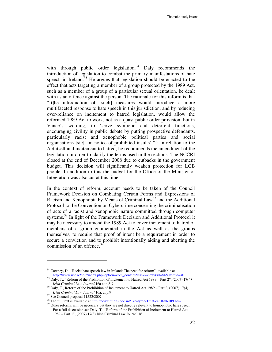with through public order legislation. $34$  Daly recommends the introduction of legislation to combat the primary manifestations of hate speech in Ireland. $35$  He argues that legislation should be enacted to the effect that acts targeting a member of a group protected by the 1989 Act, such as a member of a group of a particular sexual orientation, be dealt with as an offence against the person. The rationale for this reform is that "[t]he introduction of [such] measures would introduce a more multifaceted response to hate speech in this jurisdiction, and by reducing over-reliance on incitement to hatred legislation, would allow the reformed 1989 Act to work, not as a quasi-public order provision, but in Vance's wording, to 'serve symbolic and deterrent functions, encouraging civility in public debate by putting prospective defendants, particularly racist and xenophobic political parties and social organisations [sic], on notice of prohibited insults'. $536$  In relation to the Act itself and incitement to hatred, he recommends the amendment of the legislation in order to clarify the terms used in the sections. The NCCRI closed at the end of December 2008 due to cutbacks in the government budget. This decision will significantly weaken protection for LGB people. In addition to this the budget for the Office of the Minister of Integration was also cut at this time.

In the context of reform, account needs to be taken of the Council Framework Decision on Combating Certain Forms and Expressions of Racism and Xenophobia by Means of Criminal Law<sup>37</sup> and the Additional Protocol to the Convention on Cybercrime concerning the criminalisation of acts of a racist and xenophobic nature committed through computer systems.<sup>38</sup> In light of the Framework Decision and Additional Protocol it may be necessary to amend the 1989 Act to cover incitement to hatred of members of a group enumerated in the Act as well as the groups themselves, to require that proof of intent be a requirement in order to secure a conviction and to prohibit intentionally aiding and abetting the commission of an offence.<sup>39</sup>

<sup>&</sup>lt;sup>34</sup> Cowhey, D., "Racist hate speech law in Ireland: The need for reform", available at http://www.ucc.ie/colr/index.php?option=com\_content&task=view&id=84&Itemid=40.

<sup>35</sup> Daly, T., "Reform of the Prohibition of Incitement to Hatred Act 1989 – Part 2", (2007) 17(4*) Irish Criminal Law Journal* 16a at p.8-9.

<sup>36</sup> Daly, T., Reform of the Prohibition of Incitement to Hatred Act 1989 – Part 2, (2007) 17(4) *Irish Criminal Law Journal* 16a, at p.9

<sup>37</sup> See Council proposal 11522/2007.

<sup>&</sup>lt;sup>38</sup> The full text is available at <u>http://conventions.coe.int/Treaty/en/Treaties/Html/189.htm</u>.

<sup>&</sup>lt;sup>39</sup> Other reforms will be necessary but they are not directly relevant to homophobic hate speech. For a full discussion see Daly, T., "Reform of the Prohibition of Incitement to Hatred Act 1989 – Part 1", (2007) 17(3) Irish Criminal Law Journal 16.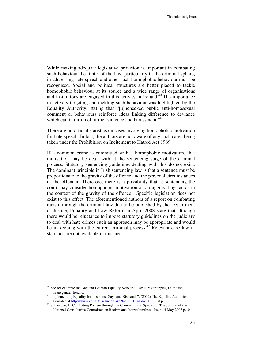While making adequate legislative provision is important in combating such behaviour the limits of the law, particularly in the criminal sphere, in addressing hate speech and other such homophobic behaviour must be recognised. Social and political structures are better placed to tackle homophobic behaviour at its source and a wide range of organisations and institutions are engaged in this activity in Ireland.<sup>40</sup> The importance in actively targeting and tackling such behaviour was highlighted by the Equality Authority, stating that "[u]nchecked public anti-homosexual comment or behaviours reinforce ideas linking difference to deviance which can in turn fuel further violence and harassment."<sup>41</sup>

There are no official statistics on cases involving homophobic motivation for hate speech. In fact, the authors are not aware of any such cases being taken under the Prohibition on Incitement to Hatred Act 1989.

If a common crime is committed with a homophobic motivation, that motivation may be dealt with at the sentencing stage of the criminal process. Statutory sentencing guidelines dealing with this do not exist. The dominant principle in Irish sentencing law is that a sentence must be proportionate to the gravity of the offence and the personal circumstances of the offender. Therefore, there is a possibility that at sentencing the court may consider homophobic motivation as an aggravating factor in the context of the gravity of the offence. Specific legislation does not exist to this effect. The aforementioned authors of a report on combating racism through the criminal law due to be published by the Department of Justice, Equality and Law Reform in April 2008 state that although there would be reluctance to impose statutory guidelines on the judiciary to deal with hate crimes such an approach may be appropriate and would be in keeping with the current criminal process.<sup>42</sup> Relevant case law or statistics are not available in this area.

<sup>&</sup>lt;sup>40</sup> See for example the Gay and Lesbian Equality Network, Gay HIV Strategies, Outhouse, Transgender Ireiand.

<sup>&</sup>lt;sup>41</sup>"Implementing Equality for Lesbians, Gays and Bisexuals", (2002) The Equality Authority, available at http://www.equality.ie/index.asp?locID=107&docID=88 at p.73.

<sup>&</sup>lt;sup>42</sup> Schweppe, J., Combating Racism through the Criminal Law, Spectrum: The Journal of the National Consultative Committee on Racism and Interculturalism, Issue 14 May 2007 p.10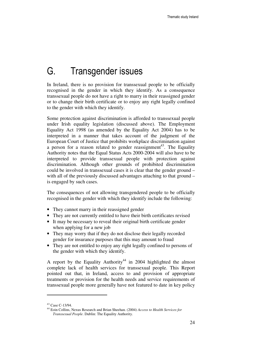# G. Transgender issues

In Ireland, there is no provision for transsexual people to be officially recognised in the gender in which they identify. As a consequence transsexual people do not have a right to marry in their reassigned gender or to change their birth certificate or to enjoy any right legally confined to the gender with which they identify.

Some protection against discrimination is afforded to transsexual people under Irish equality legislation (discussed above). The Employment Equality Act 1998 (as amended by the Equality Act 2004) has to be interpreted in a manner that takes account of the judgment of the European Court of Justice that prohibits workplace discrimination against a person for a reason related to gender reassignment<sup>43</sup>. The Equality Authority notes that the Equal Status Acts 2000-2004 will also have to be interpreted to provide transsexual people with protection against discrimination. Although other grounds of prohibited discrimination could be involved in transsexual cases it is clear that the gender ground – with all of the previously discussed advantages attaching to that ground – is engaged by such cases.

The consequences of not allowing transgendered people to be officially recognised in the gender with which they identify include the following:

- They cannot marry in their reassigned gender
- They are not currently entitled to have their birth certificates revised
- It may be necessary to reveal their original birth certificate gender when applying for a new job
- They may worry that if they do not disclose their legally recorded gender for insurance purposes that this may amount to fraud
- They are not entitled to enjoy any right legally confined to persons of the gender with which they identify.

A report by the Equality Authority<sup>44</sup> in 2004 highlighted the almost complete lack of health services for transsexual people. This Report pointed out that, in Ireland, access to and provision of appropriate treatments or provision for the health needs and service requirements of transsexual people more generally have not featured to date in key policy

<sup>43</sup> Case C-13/94.

<sup>44</sup> Eoin Collins, Nexus Research and Brian Sheehan. (2004) *Access to Health Services for Transsexual People*. Dublin: The Equality Authority.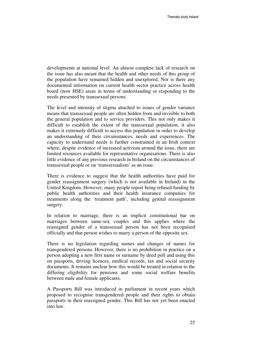developments at national level. An almost complete lack of research on the issue has also meant that the health and other needs of this group of the population have remained hidden and unexplored. Nor is there any documented information on current health sector practice across health board (now HSE) areas in terms of understanding or responding to the needs presented by transsexual persons.

The level and intensity of stigma attached to issues of gender variance means that transsexual people are often hidden from and invisible to both the general population and to service providers. This not only makes it difficult to establish the extent of the transsexual population, it also makes it extremely difficult to access this population in order to develop an understanding of their circumstances, needs and experiences. The capacity to understand needs is further constrained in an Irish context where, despite evidence of increased activism around the issue, there are limited resources available for representative organisations. There is also little evidence of any previous research in Ireland on the circumstances of transsexual people or on 'transsexualism' as an issue.

There is evidence to suggest that the health authorities have paid for gender reassignment surgery (which is not available in Ireland) in the United Kingdom. However, many people report being refused funding by public health authorities and their health insurance companies for treatments along the 'treatment path', including genital reassignment surgery.

In relation to marriage, there is an implicit constitutional bar on marriages between same-sex couples and this applies where the reassigned gender of a transsexual person has not been recognised officially and that person wishes to marry a person of the opposite sex.

There is no legislation regarding names and changes of names for transgendered persons. However, there is no prohibition in practice on a person adopting a new first name or surname by deed poll and using this on passports, driving licences, medical records, tax and social security documents. It remains unclear how this would be treated in relation to the differing eligibility for pensions and some social welfare benefits between male and female applicants.

A Passports Bill was introduced in parliament in recent years which proposed to recognise transgendered people and their rights to obtain passports in their reassigned gender. This Bill has not yet been enacted into law.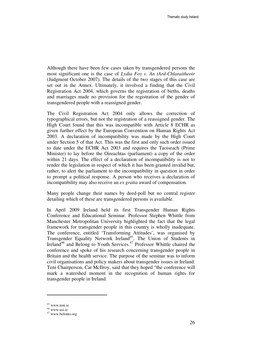Although there have been few cases taken by transgendered persons the most significant one is the case of *Lydia Foy v. An tArd-Chlaraitheoir* (Judgment October 2007). The details of the two stages of this case are set out in the Annex. Ultimately, it involved a finding that the Civil Registration Act 2004, which governs the registration of births, deaths and marriages made no provision for the registration of the gender of transgendered people with a reassigned gender.

The Civil Registration Act 2004 only allows the correction of typographical errors, but not the registration of a reassigned gender. The High Court found that this was incompatible with Article 8 ECHR as given further effect by the European Convention on Human Rights Act 2003. A declaration of incompatibility was made by the High Court under Section 5 of that Act. This was the first and only such order issued to date under the ECHR Act 2003 and requires the Taoiseach (Prime Minister) to lay before the Oireachtas (parliament) a copy of the order within 21 days. The effect of a declaration of incompatibility is not to render the legislation in respect of which it has been granted invalid but, rather, to alert the parliament to the incompatibility in question in order to prompt a political response. A person who receives a declaration of incompatibility may also receive an *ex gratia* award of compensation.

Many people change their names by deed-poll but no central register detailing which of these are transgendered persons is available.

In April 2009 Ireland held its first Transgender Human Rights Conference and Educational Seminar. Professor Stephen Whittle from Manchester Metropolitan University highlighted the fact that the legal framework for transgender people in this country is wholly inadequate. The conference, entitled 'Transforming Attitudes', was organised by Transgender Equality Network Ireland<sup>45</sup>, The Union of Students in Ireland<sup>46</sup> and Belong to Youth Services.<sup>47</sup> Professor Whittle chaired the conference and spoke of his research concerning transgender people in Britain and the health service. The purpose of the seminar was to inform civil organisations and policy makers about transgender issues in Ireland. Teni Chairperson, Cat McIlroy, said that they hoped "the conference will mark a watershed moment in the recognition of human rights for transgender people in Ireland.

<sup>45</sup> www.teni.ie

<sup>46</sup> www.usi.ie

<sup>47</sup> www.belonto.org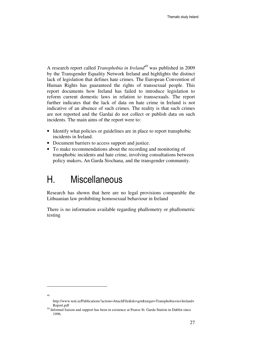A research report called *Transphobia in Ireland<sup>48</sup>* was published in 2009 by the Transgender Equality Network Ireland and highlights the distinct lack of legislation that defines hate crimes. The European Convention of Human Rights has guaranteed the rights of transsexual people. This report documents how Ireland has failed to introduce legislation to reform current domestic laws in relation to transsexuals. The report further indicates that the lack of data on hate crime in Ireland is not indicative of an absence of such crimes. The reality is that such crimes are not reported and the Gardai do not collect or publish data on such incidents. The main aims of the report were to:

- Identify what policies or guidelines are in place to report transphobic incidents in Ireland.
- Document barriers to access support and justice.
- To make recommendations about the recording and monitoring of transphobic incidents and hate crime, involving consultations between policy makers, An Garda Siochana, and the transgender community.

# H. Miscellaneous

Research has shown that here are no legal provisions comparable the Lithuanian law prohibiting homosexual behaviour in Ireland

There is no information available regarding phallometry or phallometric testing

<sup>48</sup>

http://www.teni.ie/Publications?action=AttachFile&do=get&target=Transphobia+in+Ireland+ Report.pdf

<sup>&</sup>lt;sup>50</sup> Informal liaison and support has been in existence at Pearse St. Garda Station in Dublin since 1996.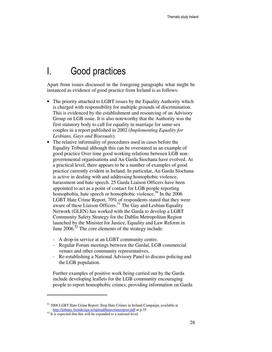# I. Good practices

Apart from issues discussed in the foregoing paragraphs what might be instanced as evidence of good practice from Ireland is as follows:

- The priority attached to LGBT issues by the Equality Authority which is charged with responsibility for multiple grounds of discrimination. This is evidenced by the establishment and resourcing of an Advisory Group on LGB issue. It is also noteworthy that the Authority was the first statutory body to call for equality in marriage for same-sex couples in a report published in 2002 (*Implementing Equality for Lesbians, Gays and Bisexuals*).
- The relative informality of procedures used in cases before the Equality Tribunal although this can be overstated as an example of good practice Over time good working relations between LGB nongovernmental organisations and An Garda Siochana have evolved. At a practical level, there appears to be a number of examples of good practice currently evident in Ireland. In particular, An Garda Síochana is active in dealing with and addressing homophobic violence, harassment and hate speech. 25 Garda Liaison Officers have been appointed to act as a point of contact for LGB people reporting homophobia, hate speech or homophobic violence.<sup>50</sup> In the  $2006$ LGBT Hate Crime Report, 70% of respondents stated that they were aware of these Liaison Officers.<sup>51</sup> The Gay and Lesbian Equality Network (GLEN) has worked with the Garda to develop a LGBT Community Safety Strategy for the Dublin Metropolitan Region launched by the Minister for Justice, Equality and Law Reform in June  $2006$ <sup>52</sup> The core elements of the strategy include:
	- A drop-in service at an LGBT community centre.
	- Regular Forum meetings between the Gardaí, LGB commercial venues and other community representatives.
	- Re-establishing a National Advisory Panel to discuss policing and the LGB population.

Further examples of positive work being carried out by the Garda include developing leaflets for the LGB community encouraging people to report homophobic crimes; providing information on Garda

<sup>51</sup> 2006 LGBT Hate Crime Report: Stop Hate Crimes in Ireland Campaign, available at http://johnny.fruitdesign.ie/upload/hatecrimereport.pdf at p.35

<sup>&</sup>lt;sup>52</sup> It is expected that this will be expanded to a national level.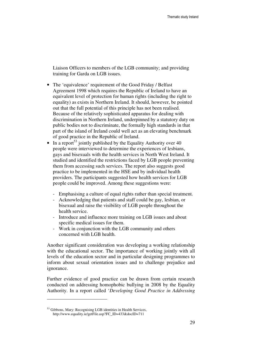Liaison Officers to members of the LGB community; and providing training for Garda on LGB issues.

- The 'equivalence' requirement of the Good Friday / Belfast Agreement 1998 which requires the Republic of Ireland to have an equivalent level of protection for human rights (including the right to equality) as exists in Northern Ireland. It should, however, be pointed out that the full potential of this principle has not been realised. Because of the relatively sophisticated apparatus for dealing with discrimination in Northern Ireland, underpinned by a statutory duty on public bodies not to discriminate, the formally high standards in that part of the island of Ireland could well act as an elevating benchmark of good practice in the Republic of Ireland.
- In a report<sup>53</sup> jointly published by the Equality Authority over 40 people were interviewed to determine the experiences of lesbians, gays and bisexuals with the health services in North West Ireland. It studied and identified the restrictions faced by LGB people preventing them from accessing such services. The report also suggests good practice to be implemented in the HSE and by individual health providers. The participants suggested how health services for LGB people could be improved. Among these suggestions were:
	- Emphasising a culture of equal rights rather than special treatment.
	- Acknowledging that patients and staff could be gay, lesbian, or bisexual and raise the visibility of LGB people throughout the health service.
	- Introduce and influence more training on LGB issues and about specific medical issues for them.
	- Work in conjunction with the LGB community and others concerned with LGB health.

Another significant consideration was developing a working relationship with the educational sector. The importance of working jointly with all levels of the education sector and in particular designing programmes to inform about sexual orientation issues and to challenge prejudice and ignorance.

Further evidence of good practice can be drawn from certain research conducted on addressing homophobic bullying in 2008 by the Equality Authority. In a report called '*Developing Good Practice in Addressing* 

<sup>&</sup>lt;sup>53</sup> Gibbons, Mary: Recognising LGB identities in Health Services, http://www.equality.ie/getFile.asp?FC\_ID=433&docID=711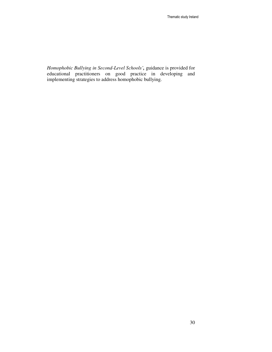*Homophobic Bullying in Second-Level Schools',* guidance is provided for educational practitioners on good practice in developing and implementing strategies to address homophobic bullying.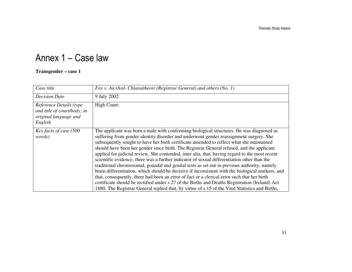# Annex 1 – Case law

#### **Transgender – case 1**

| Case title                                                                                 | Foy v. An tArd- Chlaraitheoir (Registrar General) and others (No. 1)                                                                                                                                                                                                                                                                                                                                                                                                                                                                                                                                                                                                                                                                                                                                                                                                                                                                                                                                                                                                                |  |  |  |  |
|--------------------------------------------------------------------------------------------|-------------------------------------------------------------------------------------------------------------------------------------------------------------------------------------------------------------------------------------------------------------------------------------------------------------------------------------------------------------------------------------------------------------------------------------------------------------------------------------------------------------------------------------------------------------------------------------------------------------------------------------------------------------------------------------------------------------------------------------------------------------------------------------------------------------------------------------------------------------------------------------------------------------------------------------------------------------------------------------------------------------------------------------------------------------------------------------|--|--|--|--|
| <b>Decision Date</b>                                                                       | 9 July 2002                                                                                                                                                                                                                                                                                                                                                                                                                                                                                                                                                                                                                                                                                                                                                                                                                                                                                                                                                                                                                                                                         |  |  |  |  |
| Reference Details (type<br>and title of court/body; in<br>original language and<br>English | High Court:                                                                                                                                                                                                                                                                                                                                                                                                                                                                                                                                                                                                                                                                                                                                                                                                                                                                                                                                                                                                                                                                         |  |  |  |  |
| Key facts of case (500<br><i>words</i> )                                                   | The applicant was born a male with conforming biological structures. He was diagnosed as<br>suffering from gender identity disorder and underwent gender reassignment surgery. She<br>subsequently sought to have her birth certificate amended to reflect what she maintained<br>should have been her gender since birth. The Registrar General refused, and the applicant<br>applied for judicial review. She contended, inter alia, that, having regard to the most recent<br>scientific evidence, there was a further indicator of sexual differentiation other than the<br>traditional chromosomal, gonadal and genital tests as set out in previous authority, namely<br>brain differentiation, which should be decisive if inconsistent with the biological markers, and<br>that, consequently, there had been an error of fact or a clerical error such that her birth<br>certificate should be rectified under s 27 of the Births and Deaths Registration (Ireland) Act<br>1880. The Registrar General replied that, by virtue of s 15 of the Vital Statistics and Births, |  |  |  |  |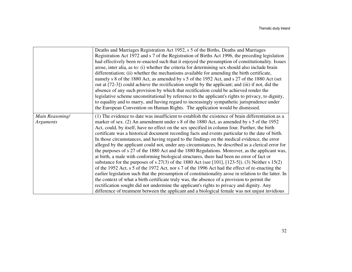|                                     | Deaths and Marriages Registration Act 1952, s 5 of the Births, Deaths and Marriages<br>Registration Act 1972 and s 7 of the Registration of Births Act 1996, the preceding legislation<br>had effectively been re-enacted such that it enjoyed the presumption of constitutionality. Issues<br>arose, inter alia, as to: (i) whether the criteria for determining sex should also include brain<br>differentiation; (ii) whether the mechanisms available for amending the birth certificate,<br>namely s 8 of the 1880 Act, as amended by s 5 of the 1952 Act, and s 27 of the 1880 Act (set<br>out at [72-3]) could achieve the rectification sought by the applicant; and (iii) if not, did the<br>absence of any such provision by which that rectification could be achieved render the                                                                                                                                                                                                                                                                                                                                                                                                                                                                                                                                                                                                                              |
|-------------------------------------|---------------------------------------------------------------------------------------------------------------------------------------------------------------------------------------------------------------------------------------------------------------------------------------------------------------------------------------------------------------------------------------------------------------------------------------------------------------------------------------------------------------------------------------------------------------------------------------------------------------------------------------------------------------------------------------------------------------------------------------------------------------------------------------------------------------------------------------------------------------------------------------------------------------------------------------------------------------------------------------------------------------------------------------------------------------------------------------------------------------------------------------------------------------------------------------------------------------------------------------------------------------------------------------------------------------------------------------------------------------------------------------------------------------------------|
|                                     | legislative scheme unconstitutional by reference to the applicant's rights to privacy, to dignity,<br>to equality and to marry, and having regard to increasingly sympathetic jurisprudence under<br>the European Convention on Human Rights. The application would be dismissed.                                                                                                                                                                                                                                                                                                                                                                                                                                                                                                                                                                                                                                                                                                                                                                                                                                                                                                                                                                                                                                                                                                                                         |
| Main Reasoning/<br><b>Arguments</b> | (1) The evidence to date was insufficient to establish the existence of brain differentiation as a<br>marker of sex. (2) An amendment under s 8 of the 1880 Act, as amended by s 5 of the 1952<br>Act, could, by itself, have no effect on the sex specified in column four. Further, the birth<br>certificate was a historical document recording facts and events particular to the date of birth.<br>In those circumstances, and having regard to the findings on the medical evidence, the error<br>alleged by the applicant could not, under any circumstances, be described as a clerical error for<br>the purposes of s 27 of the 1880 Act and the 1880 Regulations. Moreover, as the applicant was,<br>at birth, a male with conforming biological structures, there had been no error of fact or<br>substance for the purposes of s $27(3)$ of the 1880 Act (see [101], [123-5]). (3) Neither s 15(2)<br>of the 1952 Act, s 5 of the 1972 Act, nor s 7 of the 1996 Act had the effect of re-enacting the<br>earlier legislation such that the presumption of constitutionality arose in relation to the latter. In<br>the context of what a birth certificate truly was, the absence of a provision to permit the<br>rectification sought did not undermine the applicant's rights to privacy and dignity. Any<br>difference of treatment between the applicant and a biological female was not unjust invidious |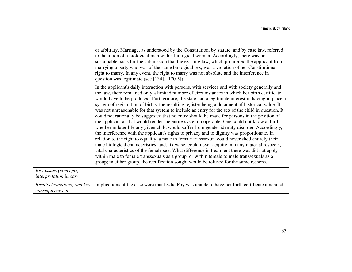|                                                 | or arbitrary. Marriage, as understood by the Constitution, by statute, and by case law, referred<br>to the union of a biological man with a biological woman. Accordingly, there was no<br>sustainable basis for the submission that the existing law, which prohibited the applicant from<br>marrying a party who was of the same biological sex, was a violation of her Constitutional<br>right to marry. In any event, the right to marry was not absolute and the interference in<br>question was legitimate (see [134], [170-5]).                                                                                                                                                                                                                                                                                                                                                                                                                                                                                                                                                                                                                                                                                                                                                                                                                                                                          |  |  |  |  |  |
|-------------------------------------------------|-----------------------------------------------------------------------------------------------------------------------------------------------------------------------------------------------------------------------------------------------------------------------------------------------------------------------------------------------------------------------------------------------------------------------------------------------------------------------------------------------------------------------------------------------------------------------------------------------------------------------------------------------------------------------------------------------------------------------------------------------------------------------------------------------------------------------------------------------------------------------------------------------------------------------------------------------------------------------------------------------------------------------------------------------------------------------------------------------------------------------------------------------------------------------------------------------------------------------------------------------------------------------------------------------------------------------------------------------------------------------------------------------------------------|--|--|--|--|--|
|                                                 | In the applicant's daily interaction with persons, with services and with society generally and<br>the law, there remained only a limited number of circumstances in which her birth certificate<br>would have to be produced. Furthermore, the state had a legitimate interest in having in place a<br>system of registration of births, the resulting register being a document of historical value. It<br>was not unreasonable for that system to include an entry for the sex of the child in question. It<br>could not rationally be suggested that no entry should be made for persons in the position of<br>the applicant as that would render the entire system inoperable. One could not know at birth<br>whether in later life any given child would suffer from gender identity disorder. Accordingly,<br>the interference with the applicant's rights to privacy and to dignity was proportionate. In<br>relation to the right to equality, a male to female transsexual could never shed entirely their<br>male biological characteristics, and, likewise, could never acquire in many material respects,<br>vital characteristics of the female sex. What difference in treatment there was did not apply<br>within male to female transsexuals as a group, or within female to male transsexuals as a<br>group; in either group, the rectification sought would be refused for the same reasons. |  |  |  |  |  |
| Key Issues (concepts,<br>interpretation in case |                                                                                                                                                                                                                                                                                                                                                                                                                                                                                                                                                                                                                                                                                                                                                                                                                                                                                                                                                                                                                                                                                                                                                                                                                                                                                                                                                                                                                 |  |  |  |  |  |
| Results (sanctions) and key<br>consequences or  | Implications of the case were that Lydia Foy was unable to have her birth certificate amended                                                                                                                                                                                                                                                                                                                                                                                                                                                                                                                                                                                                                                                                                                                                                                                                                                                                                                                                                                                                                                                                                                                                                                                                                                                                                                                   |  |  |  |  |  |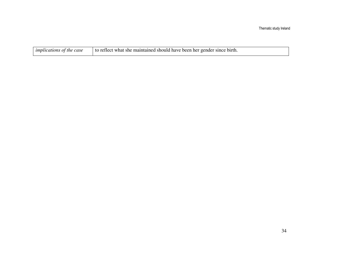| $\mid$ implications of the case | to reflect what she maintained should have been her gender since birth. |
|---------------------------------|-------------------------------------------------------------------------|
|---------------------------------|-------------------------------------------------------------------------|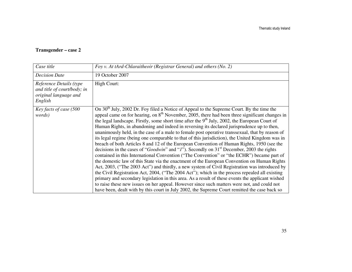#### **Transgender – case 2**

| Case title                                                                                 | Foy v. At tArd-Chlaraitheoir (Registrar General) and others (No. 2)                                                                                                                                                                                                                                                                                                                                                                                                                                                                                                                                                                                                                                                                                                                                                                                                                                                                                                                                                                                                                                                                                                                                                                                                                                                                                                                                                                                                                                                                  |  |  |  |  |
|--------------------------------------------------------------------------------------------|--------------------------------------------------------------------------------------------------------------------------------------------------------------------------------------------------------------------------------------------------------------------------------------------------------------------------------------------------------------------------------------------------------------------------------------------------------------------------------------------------------------------------------------------------------------------------------------------------------------------------------------------------------------------------------------------------------------------------------------------------------------------------------------------------------------------------------------------------------------------------------------------------------------------------------------------------------------------------------------------------------------------------------------------------------------------------------------------------------------------------------------------------------------------------------------------------------------------------------------------------------------------------------------------------------------------------------------------------------------------------------------------------------------------------------------------------------------------------------------------------------------------------------------|--|--|--|--|
| <b>Decision Date</b>                                                                       | 19 October 2007                                                                                                                                                                                                                                                                                                                                                                                                                                                                                                                                                                                                                                                                                                                                                                                                                                                                                                                                                                                                                                                                                                                                                                                                                                                                                                                                                                                                                                                                                                                      |  |  |  |  |
| Reference Details (type<br>and title of court/body; in<br>original language and<br>English | High Court:                                                                                                                                                                                                                                                                                                                                                                                                                                                                                                                                                                                                                                                                                                                                                                                                                                                                                                                                                                                                                                                                                                                                                                                                                                                                                                                                                                                                                                                                                                                          |  |  |  |  |
| Key facts of case (500<br>words)                                                           | On 30 <sup>th</sup> July, 2002 Dr. Foy filed a Notice of Appeal to the Supreme Court. By the time the<br>appeal came on for hearing, on 8 <sup>th</sup> November, 2005, there had been three significant changes in<br>the legal landscape. Firstly, some short time after the $9th$ July, 2002, the European Court of<br>Human Rights, in abandoning and indeed in reversing its declared jurisprudence up to then,<br>unanimously held, in the case of a male to female post operative transsexual, that by reason of<br>its legal regime (being one comparable to that of this jurisdiction), the United Kingdom was in<br>breach of both Articles 8 and 12 of the European Convention of Human Rights, 1950 (see the<br>decisions in the cases of "Goodwin" and "I"). Secondly on 31 <sup>st</sup> December, 2003 the rights<br>contained in this International Convention ("The Convention" or "the ECHR") became part of<br>the domestic law of this State via the enactment of the European Convention on Human Rights<br>Act, 2003, ("The 2003 Act") and thirdly, a new system of Civil Registration was introduced by<br>the Civil Registration Act, 2004, ("The 2004 Act"); which in the process repealed all existing<br>primary and secondary legislation in this area. As a result of these events the applicant wished<br>to raise these new issues on her appeal. However since such matters were not, and could not<br>have been, dealt with by this court in July 2002, the Supreme Court remitted the case back so |  |  |  |  |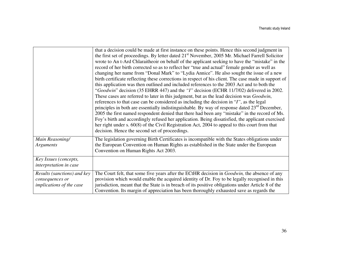|                                                                                   | that a decision could be made at first instance on these points. Hence this second judgment in<br>the first set of proceedings. By letter dated 21 <sup>st</sup> November, 2005 Mr. Michael Farrell Solicitor<br>wrote to An t-Ard Chlaraitheoir on behalf of the applicant seeking to have the "mistake" in the<br>record of her birth corrected so as to reflect her "true and actual" female gender as well as<br>changing her name from "Donal Mark" to "Lydia Annice". He also sought the issue of a new<br>birth certificate reflecting these corrections in respect of his client. The case made in support of<br>this application was then outlined and included references to the 2003 Act and to both the<br>"Goodwin" decision (35 EHRR 447) and the "I" decision (ECHR 11/7/02) delivered in 2002.<br>These cases are referred to later in this judgment, but as the lead decision was <i>Goodwin</i> ,<br>references to that case can be considered as including the decision in "I", as the legal<br>principles in both are essentially indistinguishable. By way of response dated $23rd$ December,<br>2005 the first named respondent denied that there had been any "mistake" in the record of Ms.<br>Foy's birth and accordingly refused her application. Being dissatisfied, the applicant exercised<br>her right under s. $60(8)$ of the Civil Registration Act, 2004 to appeal to this court from that<br>decision. Hence the second set of proceedings. |
|-----------------------------------------------------------------------------------|-------------------------------------------------------------------------------------------------------------------------------------------------------------------------------------------------------------------------------------------------------------------------------------------------------------------------------------------------------------------------------------------------------------------------------------------------------------------------------------------------------------------------------------------------------------------------------------------------------------------------------------------------------------------------------------------------------------------------------------------------------------------------------------------------------------------------------------------------------------------------------------------------------------------------------------------------------------------------------------------------------------------------------------------------------------------------------------------------------------------------------------------------------------------------------------------------------------------------------------------------------------------------------------------------------------------------------------------------------------------------------------------------------------------------------------------------------------------------------|
| Main Reasoning/<br>Arguments                                                      | The legislation governing Birth Certificates is incompatible with the States obligations under<br>the European Convention on Human Rights as established in the State under the European<br>Convention on Human Rights Act 2003.                                                                                                                                                                                                                                                                                                                                                                                                                                                                                                                                                                                                                                                                                                                                                                                                                                                                                                                                                                                                                                                                                                                                                                                                                                              |
| Key Issues (concepts,<br>interpretation in case                                   |                                                                                                                                                                                                                                                                                                                                                                                                                                                                                                                                                                                                                                                                                                                                                                                                                                                                                                                                                                                                                                                                                                                                                                                                                                                                                                                                                                                                                                                                               |
| Results (sanctions) and key<br>consequences or<br><i>implications of the case</i> | The Court felt, that some five years after the ECtHR decision in Goodwin, the absence of any<br>provision which would enable the acquired identity of Dr. Foy to be legally recognised in this<br>jurisdiction, meant that the State is in breach of its positive obligations under Article 8 of the<br>Convention. Its margin of appreciation has been thoroughly exhausted save as regards the                                                                                                                                                                                                                                                                                                                                                                                                                                                                                                                                                                                                                                                                                                                                                                                                                                                                                                                                                                                                                                                                              |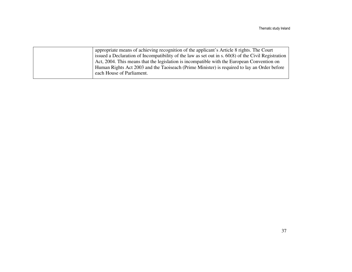| appropriate means of achieving recognition of the applicant's Article 8 rights. The Court           |
|-----------------------------------------------------------------------------------------------------|
| issued a Declaration of Incompatibility of the law as set out in s. 60(8) of the Civil Registration |
| Act, 2004. This means that the legislation is incompatible with the European Convention on          |
| Human Rights Act 2003 and the Taoiseach (Prime Minister) is required to lay an Order before         |
| each House of Parliament.                                                                           |
|                                                                                                     |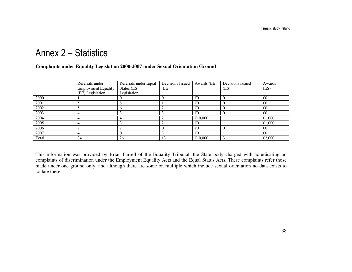# Annex 2 – Statistics

#### **Complaints under Equality Legislation 2000-2007 under Sexual Orientation Ground**

|       | Referrals under            | Referrals under Equal | Decisions Issued | Awards (EE)  | Decisions Issued | Awards       |
|-------|----------------------------|-----------------------|------------------|--------------|------------------|--------------|
|       | <b>Employment Equality</b> | Status (ES)           | (EE)             |              | (ES)             | (ES)         |
|       | (EE) Legislation           | Legislation           |                  |              |                  |              |
| 2000  |                            |                       |                  | €0           | U                | $\epsilon$ 0 |
| 2001  |                            |                       |                  | €0           |                  | $\epsilon$ 0 |
| 2002  |                            |                       |                  | €0           |                  | €0           |
| 2003  |                            |                       |                  | $\epsilon$ 0 |                  | $\epsilon$ 0 |
| 2004  |                            |                       |                  | €10,000      |                  | €1,000       |
| 2005  |                            |                       |                  | €0           |                  | €1,000       |
| 2006  |                            |                       |                  | €0           |                  | €0           |
| 2007  |                            |                       |                  | $\epsilon$ 0 |                  | $\epsilon$ 0 |
| Total | 34                         | 26                    | 13               | €10,000      |                  | €2,000       |

This information was provided by Brian Farrell of the Equality Tribunal, the State body charged with adjudicating on complaints of discrimination under the Employment Equality Acts and the Equal Status Acts. These complaints refer those made under one ground only, and although there are some on multiple which include sexual orientation no data exists to collate these.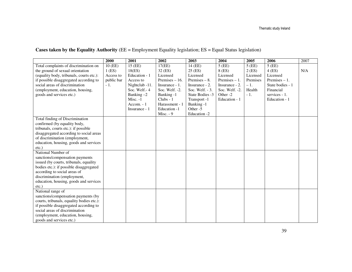#### **Cases taken by the Equality Authority** (EE = Employment Equality legislation; ES = Equal Status legislation)

|                                           | 2000       | 2001           | 2002             | 2003              | 2004                | 2005     | 2006             | 2007 |
|-------------------------------------------|------------|----------------|------------------|-------------------|---------------------|----------|------------------|------|
| Total complaints of discrimination on     | 10 (EE)    | 15 (EE)        | 17(EE)           | $14$ (EE)         | $5$ (EE)            | $5$ (EE) | $5$ (EE)         |      |
| the ground of sexual orientation          | $1$ (ES)   | 18(ES)         | 32 (ES)          | 25 (ES)           | 8 (ES)              | 2(ES)    | $4$ (ES)         | N/A  |
| (equality body, tribunals, courts etc.):  | Access to  | Education - 1  | Licensed         | Licensed          | Licensed            | Licensed | Licensed         |      |
| if possible disaggregated according to    | public bar | Access to      | Premises $-16$ . | Premises $-8$ .   | Premises $-1$ .     | Premises | Premises $-1$ .  |      |
| social areas of discrimination            | $-1.$      | Nightclub -11. | Insurance - 1.   | Insurance - 2.    | Insurance - 2.      | $-1.$    | State bodies - 1 |      |
| (employment, education, housing,          |            | Soc. Welf.-4   | Soc. Welf. -2.   | Soc. Welf. $-3$ . | Soc. Welf. -2.      | Health   | Financial        |      |
| goods and services etc.)                  |            | Banking $-2$   | Banking -1       | State Bodies -3   | Other <sub>-2</sub> | $-1.$    | services - 1.    |      |
|                                           |            | Misc. -1       | $Clubs - 1$      | Transport -1      | Education - 1       |          | Education - 1    |      |
|                                           |            | Accom. $-1$    | Harassment - 1   | Banking -1        |                     |          |                  |      |
|                                           |            | Insurance - 1  | Education -1     | Other -5          |                     |          |                  |      |
|                                           |            |                | Misc. $-9$       | Education -2      |                     |          |                  |      |
| Total finding of Discrimination           |            |                |                  |                   |                     |          |                  |      |
| confirmed (by equality body,              |            |                |                  |                   |                     |          |                  |      |
| tribunals, courts etc.): if possible      |            |                |                  |                   |                     |          |                  |      |
| disaggregated according to social areas   |            |                |                  |                   |                     |          |                  |      |
| of discrimination (employment,            |            |                |                  |                   |                     |          |                  |      |
| education, housing, goods and services    |            |                |                  |                   |                     |          |                  |      |
| $etc.$ )                                  |            |                |                  |                   |                     |          |                  |      |
| National Number of                        |            |                |                  |                   |                     |          |                  |      |
| sanctions/compensation payments           |            |                |                  |                   |                     |          |                  |      |
| issued (by courts, tribunals, equality)   |            |                |                  |                   |                     |          |                  |      |
| bodies etc.): if possible disaggregated   |            |                |                  |                   |                     |          |                  |      |
| according to social areas of              |            |                |                  |                   |                     |          |                  |      |
| discrimination (employment,               |            |                |                  |                   |                     |          |                  |      |
| education, housing, goods and services    |            |                |                  |                   |                     |          |                  |      |
| $etc.$ )                                  |            |                |                  |                   |                     |          |                  |      |
| National range of                         |            |                |                  |                   |                     |          |                  |      |
| sanctions/compensation payments (by       |            |                |                  |                   |                     |          |                  |      |
| courts, tribunals, equality bodies etc.): |            |                |                  |                   |                     |          |                  |      |
| if possible disaggregated according to    |            |                |                  |                   |                     |          |                  |      |
| social areas of discrimination            |            |                |                  |                   |                     |          |                  |      |
| (employment, education, housing,          |            |                |                  |                   |                     |          |                  |      |
| goods and services etc.)                  |            |                |                  |                   |                     |          |                  |      |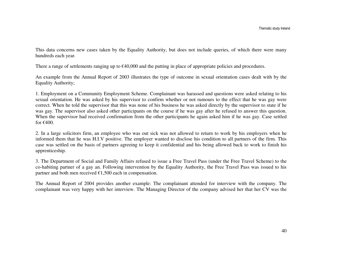This data concerns new cases taken by the Equality Authority, but does not include queries, of which there were many hundreds each year.

There a range of settlements ranging up to €40,000 and the putting in place of appropriate policies and procedures.

An example from the Annual Report of 2003 illustrates the type of outcome in sexual orientation cases dealt with by the Equality Authority;

1. Employment on a Community Employment Scheme. Complainant was harassed and questions were asked relating to his sexual orientation. He was asked by his supervisor to confirm whether or not rumours to the effect that he was gay were correct. When he told the supervisor that this was none of his business he was asked directly by the supervisor to state if he was gay. The supervisor also asked other participants on the course if he was gay after he refused to answer this question. When the supervisor had received confirmation from the other participants he again asked him if he was gay. Case settled for  $€400$ .

2. In a large solicitors firm, an employee who was out sick was not allowed to return to work by his employers when he informed them that he was H.I.V positive. The employer wanted to disclose his condition to all partners of the firm. This case was settled on the basis of partners agreeing to keep it confidential and his being allowed back to work to finish his apprenticeship.

3. The Department of Social and Family Affairs refused to issue a Free Travel Pass (under the Free Travel Scheme) to the co-habiting partner of a gay an. Following intervention by the Equality Authority, the Free Travel Pass was issued to his partner and both men received  $\epsilon$ 1,500 each in compensation.

The Annual Report of 2004 provides another example: The complainant attended for interview with the company. The complainant was very happy with her interview. The Managing Director of the company advised her that her CV was the